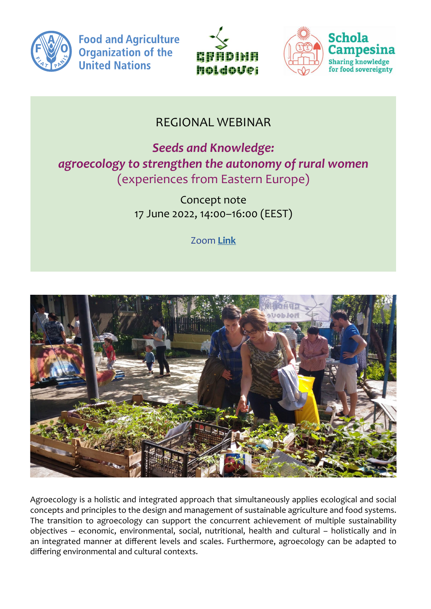

**Food and Agriculture Organization of the United Nations** 





городских потребителей и их важность во время кризиса

## REGIONAL WEBINAR

*Seeds and Knowledge: agroecology to strengthen the autonomy of rural women*  (experiences from Eastern Europe)

> Concept note 17 June 2022, 14:00–16:00 (EEST)

> > Zoom **[Link](https://us06web.zoom.us/j/82280633195)**



Agroecology is a holistic and integrated approach that simultaneously applies ecological and social concepts and principles to the design and management of sustainable agriculture and food systems. The transition to agroecology can support the concurrent achievement of multiple sustainability objectives – economic, environmental, social, nutritional, health and cultural – holistically and in an integrated manner at different levels and scales. Furthermore, agroecology can be adapted to differing environmental and cultural contexts.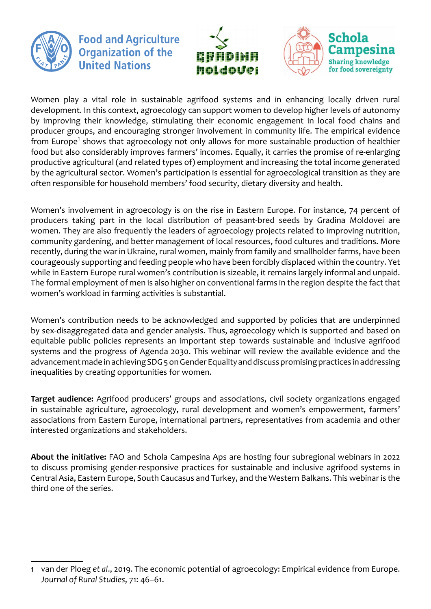

**Food and Agriculture Organization of the United Nations** 





Women play a vital role in sustainable agrifood systems and in enhancing locally driven rural development. In this context, agroecology can support women to develop higher levels of autonomy by improving their knowledge, stimulating their economic engagement in local food chains and producer groups, and encouraging stronger involvement in community life. The empirical evidence from Europe<sup>1</sup> shows that agroecology not only allows for more sustainable production of healthier food but also considerably improves farmers' incomes. Equally, it carries the promise of re-enlarging productive agricultural (and related types of) employment and increasing the total income generated by the agricultural sector. Women's participation is essential for agroecological transition as they are often responsible for household members' food security, dietary diversity and health.

Women's involvement in agroecology is on the rise in Eastern Europe. For instance, 74 percent of producers taking part in the local distribution of peasant-bred seeds by Gradina Moldovei are women. They are also frequently the leaders of agroecology projects related to improving nutrition, community gardening, and better management of local resources, food cultures and traditions. More recently, during the war in Ukraine, rural women, mainly from family and smallholder farms, have been courageously supporting and feeding people who have been forcibly displaced within the country. Yet while in Eastern Europe rural women's contribution is sizeable, it remains largely informal and unpaid. The formal employment of men is also higher on conventional farms in the region despite the fact that women's workload in farming activities is substantial.  $\mathfrak{slance}$ , /4 percent of

Women's contribution needs to be acknowledged and supported by policies that are underpinned by sex-disaggregated data and gender analysis. Thus, agroecology which is supported and based on equitable public policies represents an important step towards sustainable and inclusive agrifood systems and the progress of Agenda 2030. This webinar will review the available evidence and the systems and the advancement made in achieving SDG 5 on Gender Equality and discuss promising practices in addressing inequalities by creating opportunities for women. Женские организации вносят свой вклад в устойчивость местных

**Target audience:** Agrifood producers' groups and associations, civil society organizations engaged in sustainable agriculture, agroecology, rural development and women's empowerment, farmers' associations from Eastern Europe, international partners, representatives from academia and other interested organizations and stakeholders. Гендерные проекты ФАО в регионе

**About the initiative:** FAO and Schola Campesina Aps are hosting four subregional webinars in 2022 to discuss promising gender-responsive practices for sustainable and inclusive agrifood systems in Central Asia, Eastern Europe, South Caucasus and Turkey, and the Western Balkans. This webinar is the third one of the series.

<sup>1</sup> van der Ploeg *et al*., 2019. The economic potential of agroecology: Empirical evidence from Europe. *Journal of Rural Studies*, 71: 46–61.